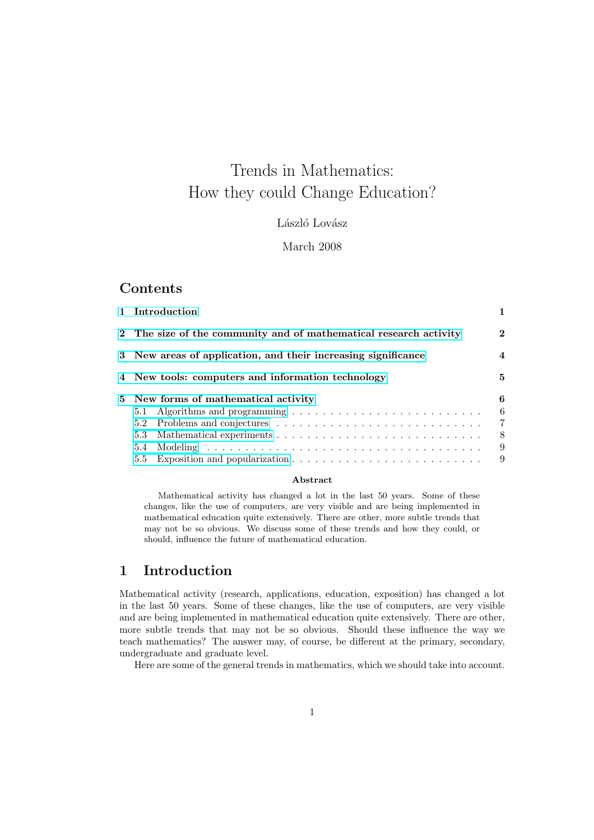# Trends in Mathematics: How they could Change Education?

László Lovász

### March 2008

### Contents

| 1 Introduction                                                    |                     |
|-------------------------------------------------------------------|---------------------|
| 2 The size of the community and of mathematical research activity | $\mathbf{2}$        |
| 3 New areas of application, and their increasing significance     | 4                   |
| 4 New tools: computers and information technology                 | 5.                  |
| 5 New forms of mathematical activity                              | 6                   |
| 5.1                                                               | 6<br>$\overline{7}$ |
| 5.3                                                               | 8                   |
| 5.4                                                               | 9                   |
|                                                                   | 9                   |

#### Abstract

[Mathemat](#page-8-0)ical activity has changed a lot in the last 50 years. Some of these [changes, like the use of computers,](#page-8-0) are very visible and are being implemented in mathematical education quite extensively. There are other, more subtle trends that may not be so obvious. We discuss some of these trends and how they could, or should, influence the future of mathematical education.

### 1 Introduction

Mathematical activity (research, applications, education, exposition) has changed a lot in the last 50 years. Some of these changes, like the use of computers, are very visible and are being implemented in mathematical education quite extensively. There are other, more subtle trends that may not be so obvious. Should these influence the way we teach mathematics? The answer may, of course, be different at the primary, secondary, undergraduate and graduate level.

Here are some of the general trends in mathematics, which we should take into account.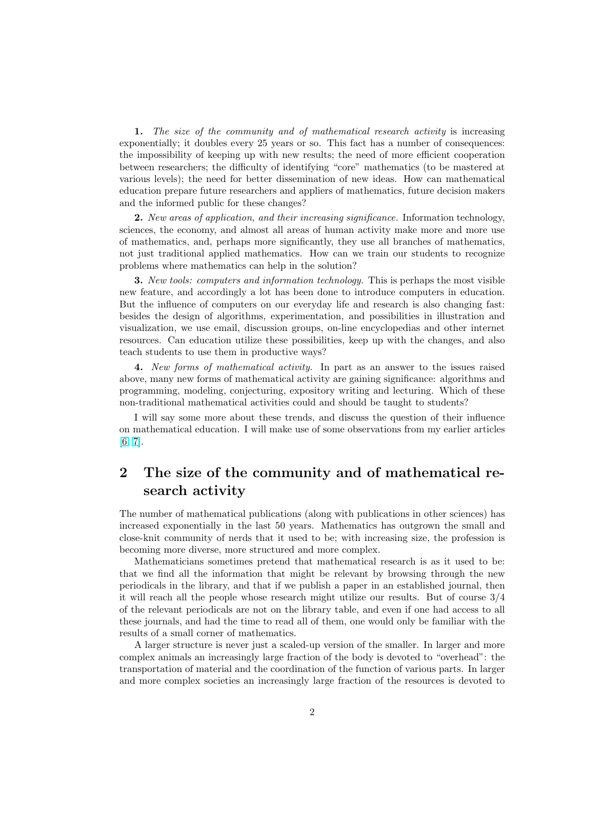<span id="page-1-0"></span>1. The size of the community and of mathematical research activity is increasing exponentially; it doubles every 25 years or so. This fact has a number of consequences: the impossibility of keeping up with new results; the need of more efficient cooperation between researchers; the difficulty of identifying "core" mathematics (to be mastered at various levels); the need for better dissemination of new ideas. How can mathematical education prepare future researchers and appliers of mathematics, future decision makers and the informed public for these changes?

2. New areas of application, and their increasing significance. Information technology, sciences, the economy, and almost all areas of human activity make more and more use of mathematics, and, perhaps more significantly, they use all branches of mathematics, not just traditional applied mathematics. How can we train our students to recognize problems where mathematics can help in the solution?

3. New tools: computers and information technology. This is perhaps the most visible new feature, and accordingly a lot has been done to introduce computers in education. But the influence of computers on our everyday life and research is also changing fast: besides the design of algorithms, experimentation, and possibilities in illustration and visualization, we use email, discussion groups, on-line encyclopedias and other internet resources. Can education utilize these possibilities, keep up with the changes, and also teach students to use them in productive ways?

4. New forms of mathematical activity. In part as an answer to the issues raised above, many new forms of mathematical activity are gaining significance: algorithms and programming, modeling, conjecturing, expository writing and lecturing. Which of these non-traditional mathematical activities could and should be taught to students?

I will say some more about these trends, and discuss the question of their influence on mathematical education. I will make use of some observations from my earlier articles [6, 7].

# 2 The size of the community and of mathematical research activity

The number of mathematical publications (along with publications in other sciences) has increased exponentially in the last 50 years. Mathematics has outgrown the small and close-knit community of nerds that it used to be; with increasing size, the profession is becoming more diverse, more structured and more complex.

Mathematicians sometimes pretend that mathematical research is as it used to be: that we find all the information that might be relevant by browsing through the new periodicals in the library, and that if we publish a paper in an established journal, then it will reach all the people whose research might utilize our results. But of course 3/4 of the relevant periodicals are not on the library table, and even if one had access to all these journals, and had the time to read all of them, one would only be familiar with the results of a small corner of mathematics.

A larger structure is never just a scaled-up version of the smaller. In larger and more complex animals an increasingly large fraction of the body is devoted to "overhead": the transportation of material and the coordination of the function of various parts. In larger and more complex societies an increasingly large fraction of the resources is devoted to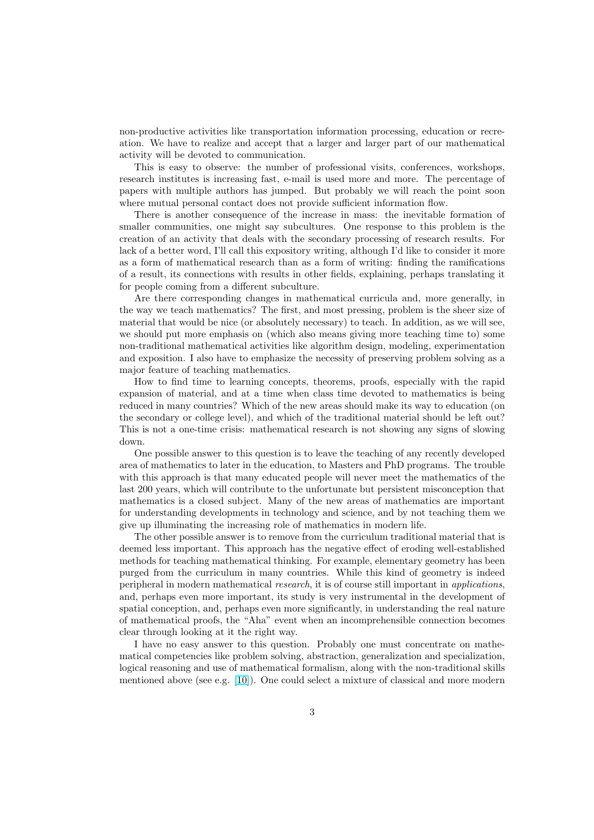non-productive activities like transportation information processing, education or recreation. We have to realize and accept that a larger and larger part of our mathematical activity will be devoted to communication.

This is easy to observe: the number of professional visits, conferences, workshops, research institutes is increasing fast, e-mail is used more and more. The percentage of papers with multiple authors has jumped. But probably we will reach the point soon where mutual personal contact does not provide sufficient information flow.

There is another consequence of the increase in mass: the inevitable formation of smaller communities, one might say subcultures. One response to this problem is the creation of an activity that deals with the secondary processing of research results. For lack of a better word, I'll call this expository writing, although I'd like to consider it more as a form of mathematical research than as a form of writing: finding the ramifications of a result, its connections with results in other fields, explaining, perhaps translating it for people coming from a different subculture.

Are there corresponding changes in mathematical curricula and, more generally, in the way we teach mathematics? The first, and most pressing, problem is the sheer size of material that would be nice (or absolutely necessary) to teach. In addition, as we will see, we should put more emphasis on (which also means giving more teaching time to) some non-traditional mathematical activities like algorithm design, modeling, experimentation and exposition. I also have to emphasize the necessity of preserving problem solving as a major feature of teaching mathematics.

How to find time to learning concepts, theorems, proofs, especially with the rapid expansion of material, and at a time when class time devoted to mathematics is being reduced in many countries? Which of the new areas should make its way to education (on the secondary or college level), and which of the traditional material should be left out? This is not a one-time crisis: mathematical research is not showing any signs of slowing down.

One possible answer to this question is to leave the teaching of any recently developed area of mathematics to later in the education, to Masters and PhD programs. The trouble with this approach is that many educated people will never meet the mathematics of the last 200 years, which will contribute to the unfortunate but persistent misconception that mathematics is a closed subject. Many of the new areas of mathematics are important for understanding developments in technology and science, and by not teaching them we give up illuminating the increasing role of mathematics in modern life.

The other possible answer is to remove from the curriculum traditional material that is deemed less important. This approach has the negative effect of eroding well-established methods for teaching mathematical thinking. For example, elementary geometry has been purged from the curriculum in many countries. While this kind of geometry is indeed peripheral in modern mathematical research, it is of course still important in applications, and, perhaps even more important, its study is very instrumental in the development of spatial conception, and, perhaps even more significantly, in understanding the real nature of mathematical proofs, the "Aha" event when an incomprehensible connection becomes clear through looking at it the right way.

I have no easy answer to this question. Probably one must concentrate on mathematical competencies like problem solving, abstraction, generalization and specialization, logical reasoning and use of mathematical formalism, along with the non-traditional skills mentioned above (see e.g. [10]). One could select a mixture of classical and more modern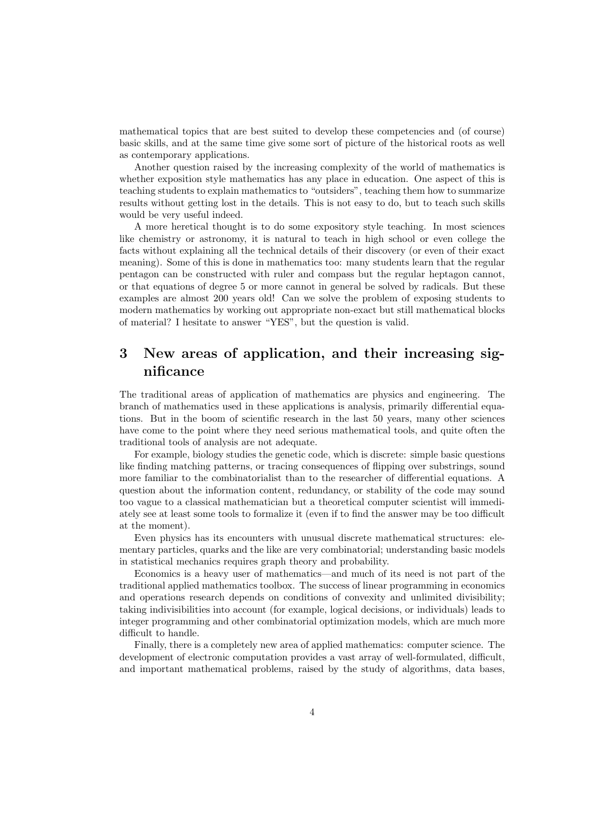<span id="page-3-0"></span>mathematical topics that are best suited to develop these competencies and (of course) basic skills, and at the same time give some sort of picture of the historical roots as well as contemporary applications.

Another question raised by the increasing complexity of the world of mathematics is whether exposition style mathematics has any place in education. One aspect of this is teaching students to explain mathematics to "outsiders", teaching them how to summarize results without getting lost in the details. This is not easy to do, but to teach such skills would be very useful indeed.

A more heretical thought is to do some expository style teaching. In most sciences like chemistry or astronomy, it is natural to teach in high school or even college the facts without explaining all the technical details of their discovery (or even of their exact meaning). Some of this is done in mathematics too: many students learn that the regular pentagon can be constructed with ruler and compass but the regular heptagon cannot, or that equations of degree 5 or more cannot in general be solved by radicals. But these examples are almost 200 years old! Can we solve the problem of exposing students to modern mathematics by working out appropriate non-exact but still mathematical blocks of material? I hesitate to answer "YES", but the question is valid.

## 3 New areas of application, and their increasing significance

The traditional areas of application of mathematics are physics and engineering. The branch of mathematics used in these applications is analysis, primarily differential equations. But in the boom of scientific research in the last 50 years, many other sciences have come to the point where they need serious mathematical tools, and quite often the traditional tools of analysis are not adequate.

For example, biology studies the genetic code, which is discrete: simple basic questions like finding matching patterns, or tracing consequences of flipping over substrings, sound more familiar to the combinatorialist than to the researcher of differential equations. A question about the information content, redundancy, or stability of the code may sound too vague to a classical mathematician but a theoretical computer scientist will immediately see at least some tools to formalize it (even if to find the answer may be too difficult at the moment).

Even physics has its encounters with unusual discrete mathematical structures: elementary particles, quarks and the like are very combinatorial; understanding basic models in statistical mechanics requires graph theory and probability.

Economics is a heavy user of mathematics—and much of its need is not part of the traditional applied mathematics toolbox. The success of linear programming in economics and operations research depends on conditions of convexity and unlimited divisibility; taking indivisibilities into account (for example, logical decisions, or individuals) leads to integer programming and other combinatorial optimization models, which are much more difficult to handle.

Finally, there is a completely new area of applied mathematics: computer science. The development of electronic computation provides a vast array of well-formulated, difficult, and important mathematical problems, raised by the study of algorithms, data bases,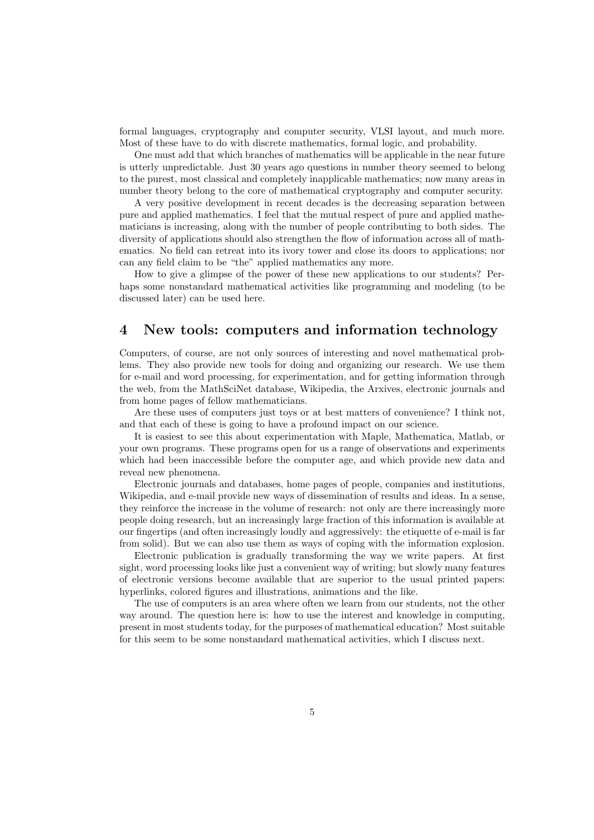<span id="page-4-0"></span>formal languages, cryptography and computer security, VLSI layout, and much more. Most of these have to do with discrete mathematics, formal logic, and probability.

One must add that which branches of mathematics will be applicable in the near future is utterly unpredictable. Just 30 years ago questions in number theory seemed to belong to the purest, most classical and completely inapplicable mathematics; now many areas in number theory belong to the core of mathematical cryptography and computer security.

A very positive development in recent decades is the decreasing separation between pure and applied mathematics. I feel that the mutual respect of pure and applied mathematicians is increasing, along with the number of people contributing to both sides. The diversity of applications should also strengthen the flow of information across all of mathematics. No field can retreat into its ivory tower and close its doors to applications; nor can any field claim to be "the" applied mathematics any more.

How to give a glimpse of the power of these new applications to our students? Perhaps some nonstandard mathematical activities like programming and modeling (to be discussed later) can be used here.

### 4 New tools: computers and information technology

Computers, of course, are not only sources of interesting and novel mathematical problems. They also provide new tools for doing and organizing our research. We use them for e-mail and word processing, for experimentation, and for getting information through the web, from the MathSciNet database, Wikipedia, the Arxives, electronic journals and from home pages of fellow mathematicians.

Are these uses of computers just toys or at best matters of convenience? I think not, and that each of these is going to have a profound impact on our science.

It is easiest to see this about experimentation with Maple, Mathematica, Matlab, or your own programs. These programs open for us a range of observations and experiments which had been inaccessible before the computer age, and which provide new data and reveal new phenomena.

Electronic journals and databases, home pages of people, companies and institutions, Wikipedia, and e-mail provide new ways of dissemination of results and ideas. In a sense, they reinforce the increase in the volume of research: not only are there increasingly more people doing research, but an increasingly large fraction of this information is available at our fingertips (and often increasingly loudly and aggressively: the etiquette of e-mail is far from solid). But we can also use them as ways of coping with the information explosion.

Electronic publication is gradually transforming the way we write papers. At first sight, word processing looks like just a convenient way of writing; but slowly many features of electronic versions become available that are superior to the usual printed papers: hyperlinks, colored figures and illustrations, animations and the like.

The use of computers is an area where often we learn from our students, not the other way around. The question here is: how to use the interest and knowledge in computing, present in most students today, for the purposes of mathematical education? Most suitable for this seem to be some nonstandard mathematical activities, which I discuss next.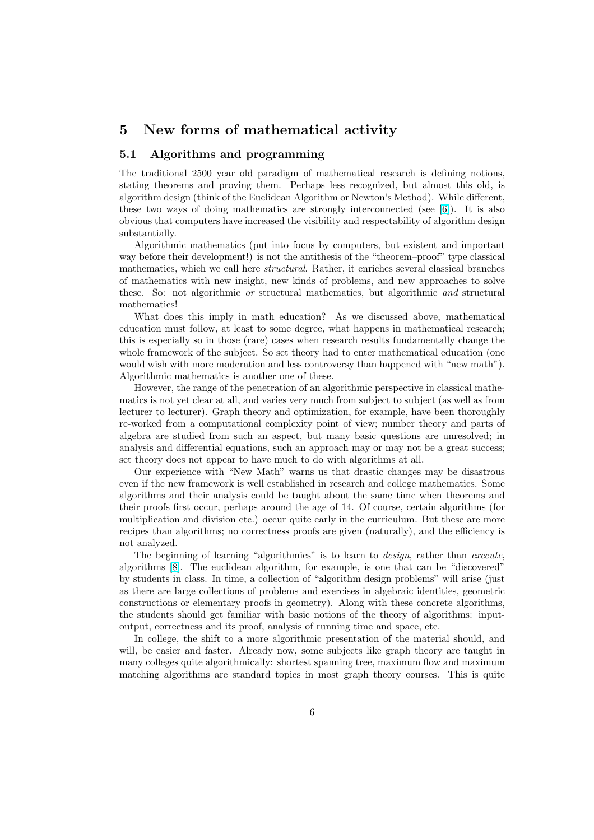### <span id="page-5-0"></span>5 New forms of mathematical activity

### 5.1 Algorithms and programming

The traditional 2500 year old paradigm of mathematical research is defining notions, stating theorems and proving them. Perhaps less recognized, but almost this old, is algorithm design (think of the Euclidean Algorithm or Newton's Method). While different, these two ways of doing mathematics are strongly interconnected (see [6]). It is also obvious that computers have increased the visibility and respectability of algorithm design substantially.

Algorithmic mathematics (put into focus by computers, but existent and important way before their development!) is not the antithesis of the "theorem–proof[" t](#page-9-0)ype classical mathematics, which we call here structural. Rather, it enriches several classical branches of mathematics with new insight, new kinds of problems, and new approaches to solve these. So: not algorithmic or structural mathematics, but algorithmic and structural mathematics!

What does this imply in math education? As we discussed above, mathematical education must follow, at least to some degree, what happens in mathematical research; this is especially so in those (rare) cases when research results fundamentally change the whole framework of the subject. So set theory had to enter mathematical education (one would wish with more moderation and less controversy than happened with "new math"). Algorithmic mathematics is another one of these.

However, the range of the penetration of an algorithmic perspective in classical mathematics is not yet clear at all, and varies very much from subject to subject (as well as from lecturer to lecturer). Graph theory and optimization, for example, have been thoroughly re-worked from a computational complexity point of view; number theory and parts of algebra are studied from such an aspect, but many basic questions are unresolved; in analysis and differential equations, such an approach may or may not be a great success; set theory does not appear to have much to do with algorithms at all.

Our experience with "New Math" warns us that drastic changes may be disastrous even if the new framework is well established in research and college mathematics. Some algorithms and their analysis could be taught about the same time when theorems and their proofs first occur, perhaps around the age of 14. Of course, certain algorithms (for multiplication and division etc.) occur quite early in the curriculum. But these are more recipes than algorithms; no correctness proofs are given (naturally), and the efficiency is not analyzed.

The beginning of learning "algorithmics" is to learn to *design*, rather than *execute*, algorithms [8]. The euclidean algorithm, for example, is one that can be "discovered" by students in class. In time, a collection of "algorithm design problems" will arise (just as there are large collections of problems and exercises in algebraic identities, geometric constructions or elementary proofs in geometry). Along with these concrete algorithms, the student[s s](#page-9-0)hould get familiar with basic notions of the theory of algorithms: inputoutput, correctness and its proof, analysis of running time and space, etc.

In college, the shift to a more algorithmic presentation of the material should, and will, be easier and faster. Already now, some subjects like graph theory are taught in many colleges quite algorithmically: shortest spanning tree, maximum flow and maximum matching algorithms are standard topics in most graph theory courses. This is quite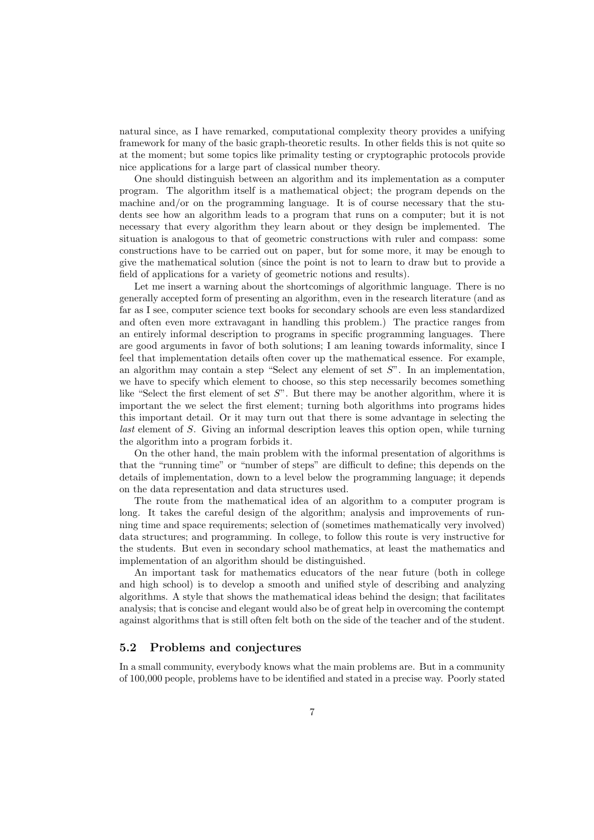natural since, as I have remarked, computational complexity theory provides a unifying framework for many of the basic graph-theoretic results. In other fields this is not quite so at the moment; but some topics like primality testing or cryptographic protocols provide nice applications for a large part of classical number theory.

One should distinguish between an algorithm and its implementation as a computer program. The algorithm itself is a mathematical object; the program depends on the machine and/or on the programming language. It is of course necessary that the students see how an algorithm leads to a program that runs on a computer; but it is not necessary that every algorithm they learn about or they design be implemented. The situation is analogous to that of geometric constructions with ruler and compass: some constructions have to be carried out on paper, but for some more, it may be enough to give the mathematical solution (since the point is not to learn to draw but to provide a field of applications for a variety of geometric notions and results).

Let me insert a warning about the shortcomings of algorithmic language. There is no generally accepted form of presenting an algorithm, even in the research literature (and as far as I see, computer science text books for secondary schools are even less standardized and often even more extravagant in handling this problem.) The practice ranges from an entirely informal description to programs in specific programming languages. There are good arguments in favor of both solutions; I am leaning towards informality, since I feel that implementation details often cover up the mathematical essence. For example, an algorithm may contain a step "Select any element of set  $S$ ". In an implementation, we have to specify which element to choose, so this step necessarily becomes something like "Select the first element of set  $S$ ". But there may be another algorithm, where it is important the we select the first element; turning both algorithms into programs hides this important detail. Or it may turn out that there is some advantage in selecting the last element of S. Giving an informal description leaves this option open, while turning the algorithm into a program forbids it.

On the other hand, the main problem with the informal presentation of algorithms is that the "running time" or "number of steps" are difficult to define; this depends on the details of implementation, down to a level below the programming language; it depends on the data representation and data structures used.

The route from the mathematical idea of an algorithm to a computer program is long. It takes the careful design of the algorithm; analysis and improvements of running time and space requirements; selection of (sometimes mathematically very involved) data structures; and programming. In college, to follow this route is very instructive for the students. But even in secondary school mathematics, at least the mathematics and implementation of an algorithm should be distinguished.

An important task for mathematics educators of the near future (both in college and high school) is to develop a smooth and unified style of describing and analyzing algorithms. A style that shows the mathematical ideas behind the design; that facilitates analysis; that is concise and elegant would also be of great help in overcoming the contempt against algorithms that is still often felt both on the side of the teacher and of the student.

### 5.2 Problems and conjectures

In a small community, everybody knows what the main problems are. But in a community of 100,000 people, problems have to be identified and stated in a precise way. Poorly stated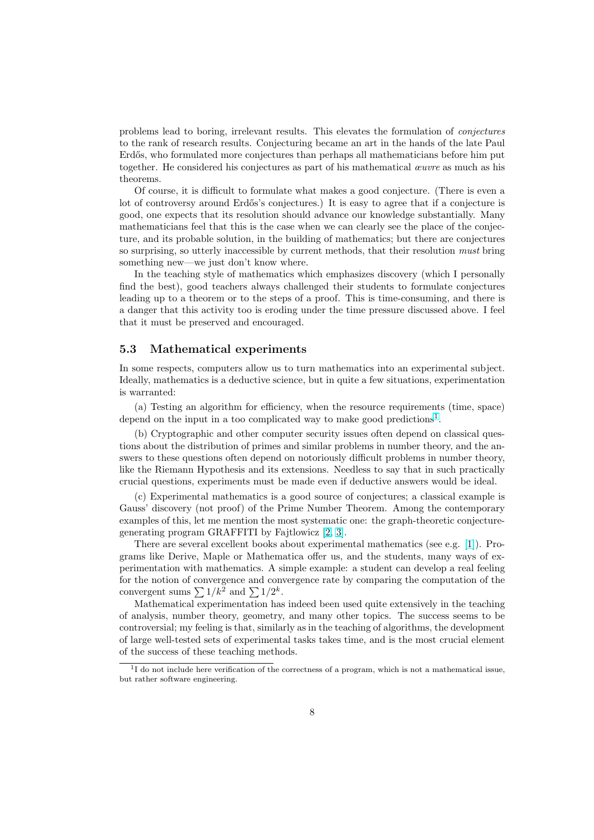problems lead to boring, irrelevant results. This elevates the formulation of conjectures to the rank of research results. Conjecturing became an art in the hands of the late Paul Erdős, who formulated more conjectures than perhaps all mathematicians before him put together. He considered his conjectures as part of his mathematical œuvre as much as his theorems.

Of course, it is difficult to formulate what makes a good conjecture. (There is even a lot of controversy around Erdős's conjectures.) It is easy to agree that if a conjecture is good, one expects that its resolution should advance our knowledge substantially. Many mathematicians feel that this is the case when we can clearly see the place of the conjecture, and its probable solution, in the building of mathematics; but there are conjectures so surprising, so utterly inaccessible by current methods, that their resolution must bring something new—we just don't know where.

In the teaching style of mathematics which emphasizes discovery (which I personally find the best), good teachers always challenged their students to formulate conjectures leading up to a theorem or to the steps of a proof. This is time-consuming, and there is a danger that this activity too is eroding under the time pressure discussed above. I feel that it must be preserved and encouraged.

#### 5.3 Mathematical experiments

In some respects, computers allow us to turn mathematics into an experimental subject. Ideally, mathematics is a deductive science, but in quite a few situations, experimentation is warranted:

(a) Testing an algorithm for efficiency, when the resource requirements (time, space) depend on the input in a too complicated way to make good predictions<sup>1</sup>.

(b) Cryptographic and other computer security issues often depend on classical questions about the distribution of primes and similar problems in number theory, and the answers to these questions often depend on notoriously difficult problems in number theory, like the Riemann Hypothesis and its extensions. Needless to say that in such practically crucial questions, experiments must be made even if deductive answers would be ideal.

(c) Experimental mathematics is a good source of conjectures; a classical example is Gauss' discovery (not proof) of the Prime Number Theorem. Among the contemporary examples of this, let me mention the most systematic one: the graph-theoretic conjecturegenerating program GRAFFITI by Fajtlowicz [2, 3].

There are several excellent books about experimental mathematics (see e.g. [1]). Programs like Derive, Maple or Mathematica offer us, and the students, many ways of experimentation with mathematics. A simple example: a student can develop a real feeling for the notion of convergence and convergence [rate](#page-8-0) by comparing the computation of the for the notion of convergence and con-<br>convergent sums  $\sum 1/k^2$  and  $\sum 1/2^k$ .

Mathematical experimentation has indeed been used quite extensively in the teaching of analysis, number theory, geometry, and many other topics. The success seems to be controversial; my feeling is that, similarly as in the teaching of algorithms, the development of large well-tested sets of experimental tasks takes time, and is the most crucial element of the success of these teaching methods.

<sup>&</sup>lt;sup>1</sup>I do not include here verification of the correctness of a program, which is not a mathematical issue, but rather software engineering.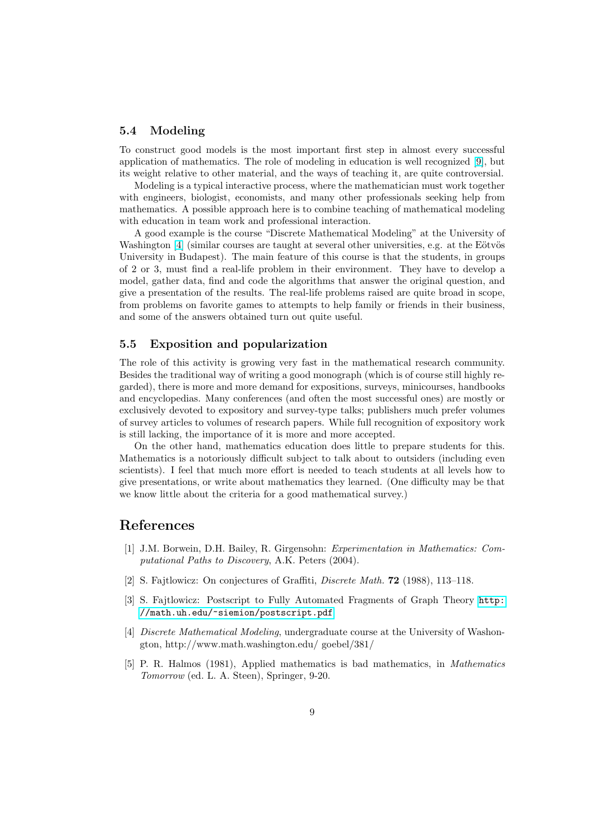#### <span id="page-8-0"></span>5.4 Modeling

To construct good models is the most important first step in almost every successful application of mathematics. The role of modeling in education is well recognized [9], but its weight relative to other material, and the ways of teaching it, are quite controversial.

Modeling is a typical interactive process, where the mathematician must work together with engineers, biologist, economists, and many other professionals seeking help from mathematics. A possible approach here is to combine teaching of mathematical m[od](#page-9-0)eling with education in team work and professional interaction.

A good example is the course "Discrete Mathematical Modeling" at the University of Washington  $[4]$  (similar courses are taught at several other universities, e.g. at the Eötvös University in Budapest). The main feature of this course is that the students, in groups of 2 or 3, must find a real-life problem in their environment. They have to develop a model, gather data, find and code the algorithms that answer the original question, and give a presentation of the results. The real-life problems raised are quite broad in scope, from problems on favorite games to attempts to help family or friends in their business, and some of the answers obtained turn out quite useful.

### 5.5 Exposition and popularization

The role of this activity is growing very fast in the mathematical research community. Besides the traditional way of writing a good monograph (which is of course still highly regarded), there is more and more demand for expositions, surveys, minicourses, handbooks and encyclopedias. Many conferences (and often the most successful ones) are mostly or exclusively devoted to expository and survey-type talks; publishers much prefer volumes of survey articles to volumes of research papers. While full recognition of expository work is still lacking, the importance of it is more and more accepted.

On the other hand, mathematics education does little to prepare students for this. Mathematics is a notoriously difficult subject to talk about to outsiders (including even scientists). I feel that much more effort is needed to teach students at all levels how to give presentations, or write about mathematics they learned. (One difficulty may be that we know little about the criteria for a good mathematical survey.)

### References

- [1] J.M. Borwein, D.H. Bailey, R. Girgensohn: Experimentation in Mathematics: Computational Paths to Discovery, A.K. Peters (2004).
- [2] S. Fajtlowicz: On conjectures of Graffiti, Discrete Math. 72 (1988), 113–118.
- [3] S. Fajtlowicz: Postscript to Fully Automated Fragments of Graph Theory http: //math.uh.edu/~siemion/postscript.pdf
- [4] Discrete Mathematical Modeling, undergraduate course at the University of Washongton, http://www.math.washington.edu/ goebel/381/
- [5] [P. R. Halmos \(1981\), Applied mathematics](http://math.uh.edu/~siemion/postscript.pdf) is bad mathematics, in Mathematics Tomorrow (ed. L. A. Steen), Springer, 9-20.